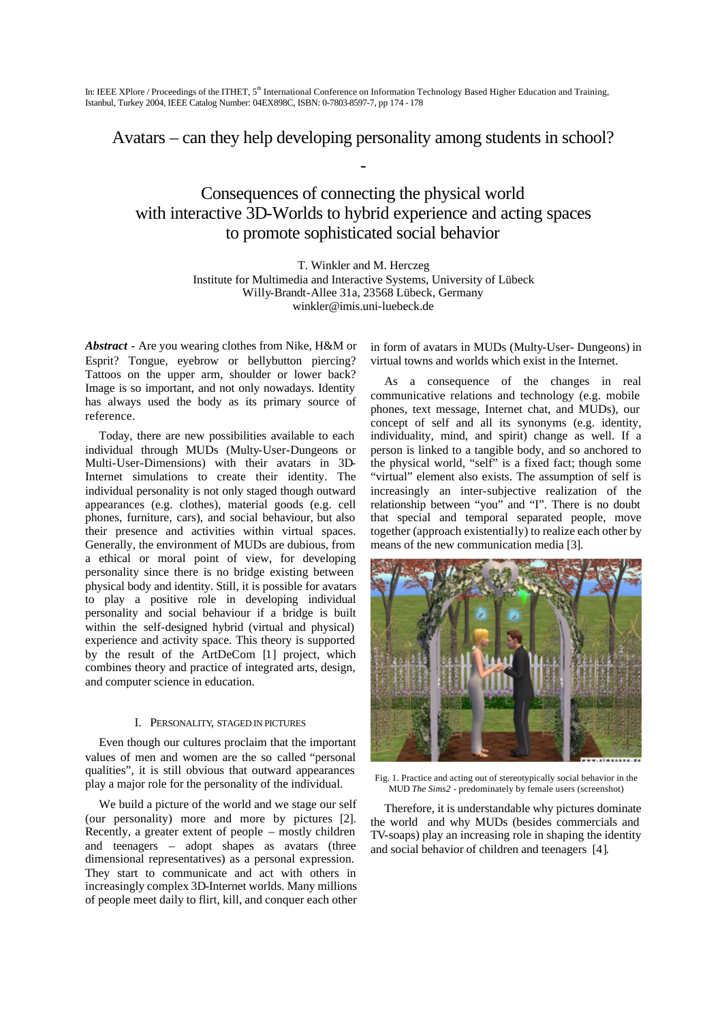Avatars – can they help developing personality among students in school?

-

# Consequences of connecting the physical world with interactive 3D-Worlds to hybrid experience and acting spaces to promote sophisticated social behavior

T. Winkler and M. Herczeg Institute for Multimedia and Interactive Systems, University of Lübeck Willy-Brandt-Allee 31a, 23568 Lübeck, Germany winkler@imis.uni-luebeck.de

*Abstract -* Are you wearing clothes from Nike, H&M or Esprit? Tongue, eyebrow or bellybutton piercing? Tattoos on the upper arm, shoulder or lower back? Image is so important, and not only nowadays. Identity has always used the body as its primary source of reference.

Today, there are new possibilities available to each individual through MUDs (Multy-User-Dungeons or Multi-User-Dimensions) with their avatars in 3D-Internet simulations to create their identity. The individual personality is not only staged though outward appearances (e.g. clothes), material goods (e.g. cell phones, furniture, cars), and social behaviour, but also their presence and activities within virtual spaces. Generally, the environment of MUDs are dubious, from a ethical or moral point of view, for developing personality since there is no bridge existing between physical body and identity. Still, it is possible for avatars to play a positive role in developing individual personality and social behaviour if a bridge is built within the self-designed hybrid (virtual and physical) experience and activity space. This theory is supported by the result of the ArtDeCom [1] project, which combines theory and practice of integrated arts, design, and computer science in education.

# I. PERSONALITY, STAGED IN PICTURES

Even though our cultures proclaim that the important values of men and women are the so called "personal qualities", it is still obvious that outward appearances play a major role for the personality of the individual.

We build a picture of the world and we stage our self (our personality) more and more by pictures [2]. Recently, a greater extent of people – mostly children and teenagers – adopt shapes as avatars (three dimensional representatives) as a personal expression. They start to communicate and act with others in increasingly complex 3D-Internet worlds. Many millions of people meet daily to flirt, kill, and conquer each other in form of avatars in MUDs (Multy-User- Dungeons) in virtual towns and worlds which exist in the Internet.

As a consequence of the changes in real communicative relations and technology (e.g. mobile phones, text message, Internet chat, and MUDs), our concept of self and all its synonyms (e.g. identity, individuality, mind, and spirit) change as well. If a person is linked to a tangible body, and so anchored to the physical world, "self" is a fixed fact; though some "virtual" element also exists. The assumption of self is increasingly an inter-subjective realization of the relationship between "you" and "I". There is no doubt that special and temporal separated people, move together (approach existentially) to realize each other by means of the new communication media [3].



Fig. 1. Practice and acting out of stereotypically social behavior in the MUD *The Sims2* - predominately by female users (screenshot)

Therefore, it is understandable why pictures dominate the world and why MUDs (besides commercials and TV-soaps) play an increasing role in shaping the identity and social behavior of children and teenagers [4].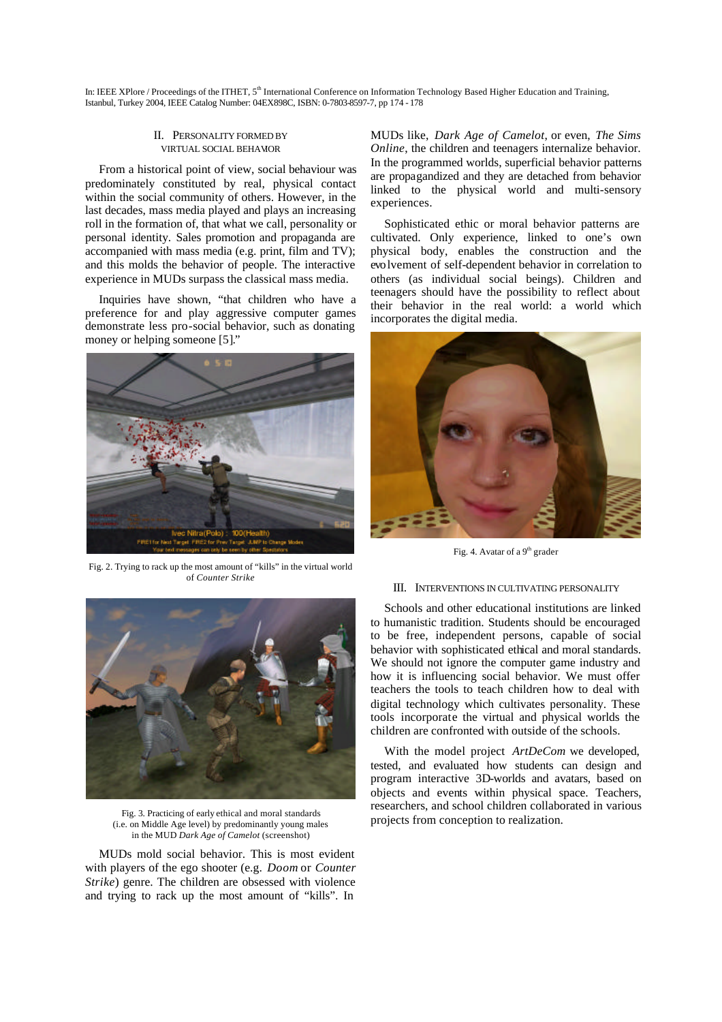#### II. PERSONALITY FORMED BY VIRTUAL SOCIAL BEHAVOR

From a historical point of view, social behaviour was predominately constituted by real, physical contact within the social community of others. However, in the last decades, mass media played and plays an increasing roll in the formation of, that what we call, personality or personal identity. Sales promotion and propaganda are accompanied with mass media (e.g. print, film and TV); and this molds the behavior of people. The interactive experience in MUDs surpass the classical mass media.

Inquiries have shown, "that children who have a preference for and play aggressive computer games demonstrate less pro-social behavior, such as donating money or helping someone [5]."



Fig. 2. Trying to rack up the most amount of "kills" in the virtual world of *Counter Strike*



Fig. 3. Practicing of early ethical and moral standards (i.e. on Middle Age level) by predominantly young males in the MUD *Dark Age of Camelot* (screenshot)

MUDs mold social behavior. This is most evident with players of the ego shooter (e.g. *Doom* or *Counter Strike*) genre. The children are obsessed with violence and trying to rack up the most amount of "kills". In

MUDs like, *Dark Age of Camelot*, or even, *The Sims Online*, the children and teenagers internalize behavior. In the programmed worlds, superficial behavior patterns are propagandized and they are detached from behavior linked to the physical world and multi-sensory experiences.

Sophisticated ethic or moral behavior patterns are cultivated. Only experience, linked to one's own physical body, enables the construction and the evolvement of self-dependent behavior in correlation to others (as individual social beings). Children and teenagers should have the possibility to reflect about their behavior in the real world: a world which incorporates the digital media.



Fig. 4. Avatar of a  $9<sup>th</sup>$  grader

#### III. INTERVENTIONS IN CULTIVATING PERSONALITY

Schools and other educational institutions are linked to humanistic tradition. Students should be encouraged to be free, independent persons, capable of social behavior with sophisticated ethical and moral standards. We should not ignore the computer game industry and how it is influencing social behavior. We must offer teachers the tools to teach children how to deal with digital technology which cultivates personality. These tools incorporate the virtual and physical worlds the children are confronted with outside of the schools.

With the model project *ArtDeCom* we developed, tested, and evaluated how students can design and program interactive 3D-worlds and avatars, based on objects and events within physical space. Teachers, researchers, and school children collaborated in various projects from conception to realization.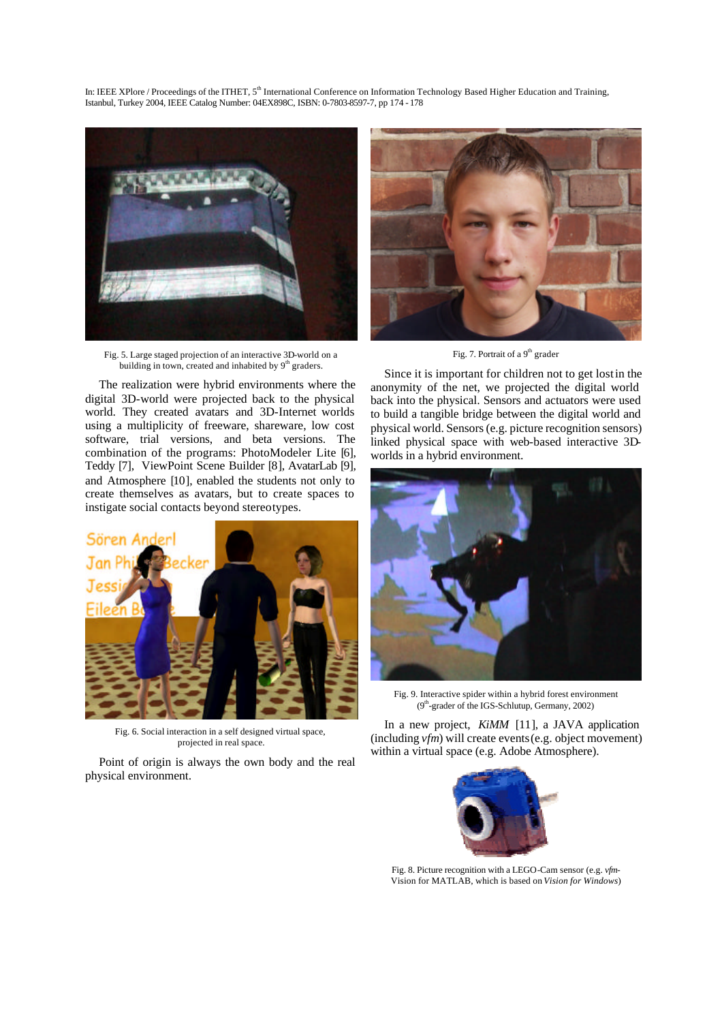

Fig. 5. Large staged projection of an interactive 3D-world on a building in town, created and inhabited by 9<sup>th</sup> graders.

The realization were hybrid environments where the digital 3D-world were projected back to the physical world. They created avatars and 3D-Internet worlds using a multiplicity of freeware, shareware, low cost software, trial versions, and beta versions. The combination of the programs: PhotoModeler Lite [6], Teddy [7], ViewPoint Scene Builder [8], AvatarLab [9], and Atmosphere [10], enabled the students not only to create themselves as avatars, but to create spaces to instigate social contacts beyond stereotypes.



Fig. 6. Social interaction in a self designed virtual space, projected in real space.

Point of origin is always the own body and the real physical environment.



Fig. 7. Portrait of a 9<sup>th</sup> grader

Since it is important for children not to get lost in the anonymity of the net, we projected the digital world back into the physical. Sensors and actuators were used to build a tangible bridge between the digital world and physical world. Sensors (e.g. picture recognition sensors) linked physical space with web-based interactive 3Dworlds in a hybrid environment.



Fig. 9. Interactive spider within a hybrid forest environment (9<sup>th</sup>-grader of the IGS-Schlutup, Germany, 2002)

In a new project, *KiMM* [11], a JAVA application (including *vfm*) will create events (e.g. object movement) within a virtual space (e.g. Adobe Atmosphere).



Fig. 8. Picture recognition with a LEGO-Cam sensor (e.g. *vfm*-Vision for MATLAB, which is based on *Vision for Windows*)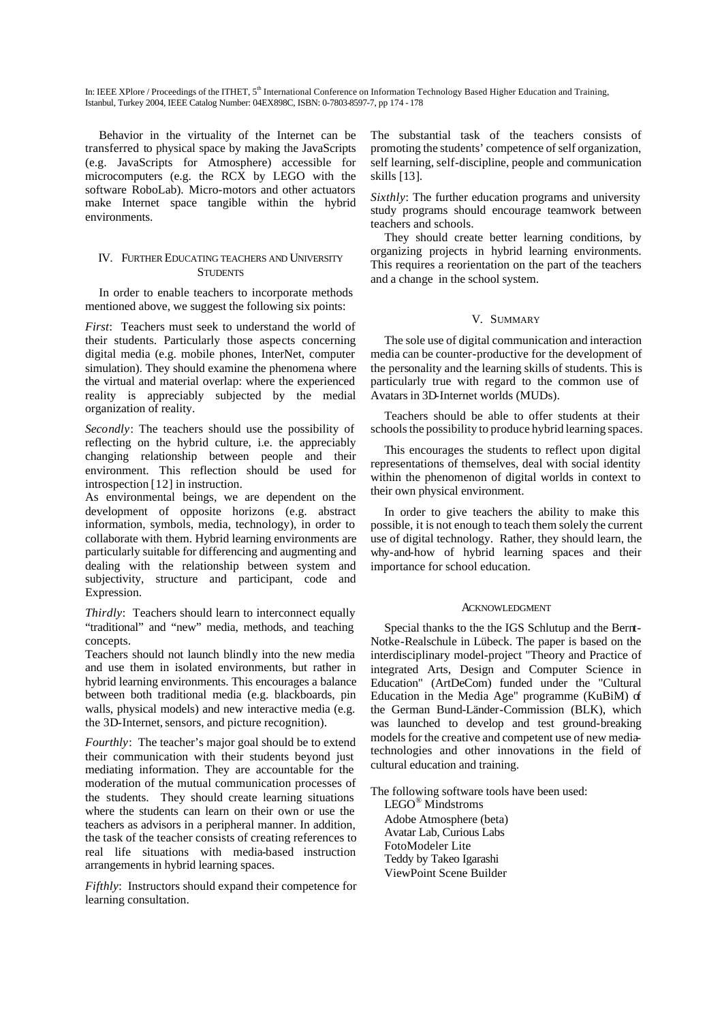Behavior in the virtuality of the Internet can be transferred to physical space by making the JavaScripts (e.g. JavaScripts for Atmosphere) accessible for microcomputers (e.g. the RCX by LEGO with the software RoboLab). Micro-motors and other actuators make Internet space tangible within the hybrid environments.

## IV. FURTHER EDUCATING TEACHERS AND UNIVERSITY **STUDENTS**

In order to enable teachers to incorporate methods mentioned above, we suggest the following six points:

*First*: Teachers must seek to understand the world of their students. Particularly those aspects concerning digital media (e.g. mobile phones, InterNet, computer simulation). They should examine the phenomena where the virtual and material overlap: where the experienced reality is appreciably subjected by the medial organization of reality.

*Secondly*: The teachers should use the possibility of reflecting on the hybrid culture, i.e. the appreciably changing relationship between people and their environment. This reflection should be used for introspection [12] in instruction.

As environmental beings, we are dependent on the development of opposite horizons (e.g. abstract information, symbols, media, technology), in order to collaborate with them. Hybrid learning environments are particularly suitable for differencing and augmenting and dealing with the relationship between system and subjectivity, structure and participant, code and Expression.

*Thirdly*: Teachers should learn to interconnect equally "traditional" and "new" media, methods, and teaching concepts.

Teachers should not launch blindly into the new media and use them in isolated environments, but rather in hybrid learning environments. This encourages a balance between both traditional media (e.g. blackboards, pin walls, physical models) and new interactive media (e.g. the 3D-Internet, sensors, and picture recognition).

*Fourthly*: The teacher's major goal should be to extend their communication with their students beyond just mediating information. They are accountable for the moderation of the mutual communication processes of the students. They should create learning situations where the students can learn on their own or use the teachers as advisors in a peripheral manner. In addition, the task of the teacher consists of creating references to real life situations with media-based instruction arrangements in hybrid learning spaces.

*Fifthly*: Instructors should expand their competence for learning consultation.

The substantial task of the teachers consists of promoting the students' competence of self organization, self learning, self-discipline, people and communication skills [13].

*Sixthly*: The further education programs and university study programs should encourage teamwork between teachers and schools.

They should create better learning conditions, by organizing projects in hybrid learning environments. This requires a reorientation on the part of the teachers and a change in the school system.

### V. SUMMARY

The sole use of digital communication and interaction media can be counter-productive for the development of the personality and the learning skills of students. This is particularly true with regard to the common use of Avatars in 3D-Internet worlds (MUDs).

Teachers should be able to offer students at their schools the possibility to produce hybrid learning spaces.

This encourages the students to reflect upon digital representations of themselves, deal with social identity within the phenomenon of digital worlds in context to their own physical environment.

In order to give teachers the ability to make this possible, it is not enough to teach them solely the current use of digital technology. Rather, they should learn, the why-and-how of hybrid learning spaces and their importance for school education.

### ACKNOWLEDGMENT

Special thanks to the the IGS Schlutup and the Bernt-Notke-Realschule in Lübeck. The paper is based on the interdisciplinary model-project "Theory and Practice of integrated Arts, Design and Computer Science in Education" (ArtDeCom) funded under the "Cultural Education in the Media Age" programme (KuBiM) of the German Bund-Länder-Commission (BLK), which was launched to develop and test ground-breaking models for the creative and competent use of new mediatechnologies and other innovations in the field of cultural education and training.

The following software tools have been used:

LEGO® Mindstroms Adobe Atmosphere (beta) Avatar Lab, Curious Labs FotoModeler Lite Teddy by Takeo Igarashi ViewPoint Scene Builder